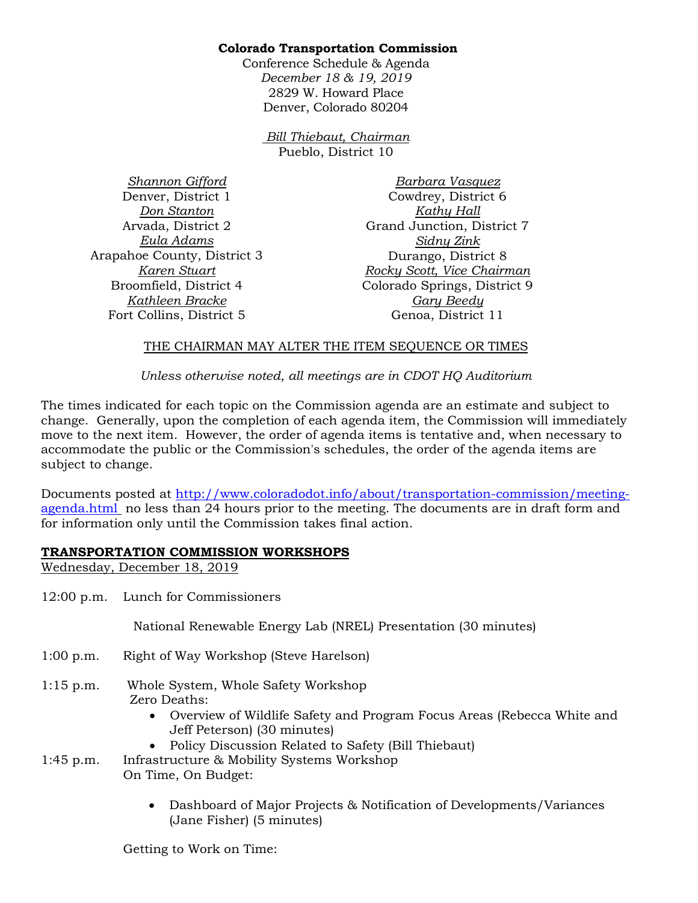## **Colorado Transportation Commission**

Conference Schedule & Agenda *December 18 & 19, 2019*  2829 W. Howard Place Denver, Colorado 80204

> *Bill Thiebaut, Chairman* Pueblo, District 10

*Shannon Gifford* Denver, District 1 *Don Stanton* Arvada, District 2 *Eula Adams* Arapahoe County, District 3 *Karen Stuart* Broomfield, District 4 *Kathleen Bracke* Fort Collins, District 5

*Barbara Vasquez* Cowdrey, District 6 *Kathy Hall* Grand Junction, District 7 *Sidny Zink* Durango, District 8 *Rocky Scott, Vice Chairman* Colorado Springs, District 9 *Gary Beedy* Genoa, District 11

## THE CHAIRMAN MAY ALTER THE ITEM SEQUENCE OR TIMES

*Unless otherwise noted, all meetings are in CDOT HQ Auditorium*

The times indicated for each topic on the Commission agenda are an estimate and subject to change. Generally, upon the completion of each agenda item, the Commission will immediately move to the next item. However, the order of agenda items is tentative and, when necessary to accommodate the public or the Commission's schedules, the order of the agenda items are subject to change.

Documents posted at [http://www.coloradodot.info/about/transportation-commission/meeting](http://www.coloradodot.info/about/transportation-commission/meeting-agenda.html)[agenda.html](http://www.coloradodot.info/about/transportation-commission/meeting-agenda.html) no less than 24 hours prior to the meeting. The documents are in draft form and for information only until the Commission takes final action.

## **TRANSPORTATION COMMISSION WORKSHOPS**

Wednesday, December 18, 2019

12:00 p.m. Lunch for Commissioners

National Renewable Energy Lab (NREL) Presentation (30 minutes)

- 1:00 p.m. Right of Way Workshop (Steve Harelson)
- 1:15 p.m. Whole System, Whole Safety Workshop Zero Deaths:
	- Overview of Wildlife Safety and Program Focus Areas (Rebecca White and Jeff Peterson) (30 minutes)
	- Policy Discussion Related to Safety (Bill Thiebaut)

1:45 p.m. Infrastructure & Mobility Systems Workshop On Time, On Budget:

> • Dashboard of Major Projects & Notification of Developments/Variances (Jane Fisher) (5 minutes)

Getting to Work on Time: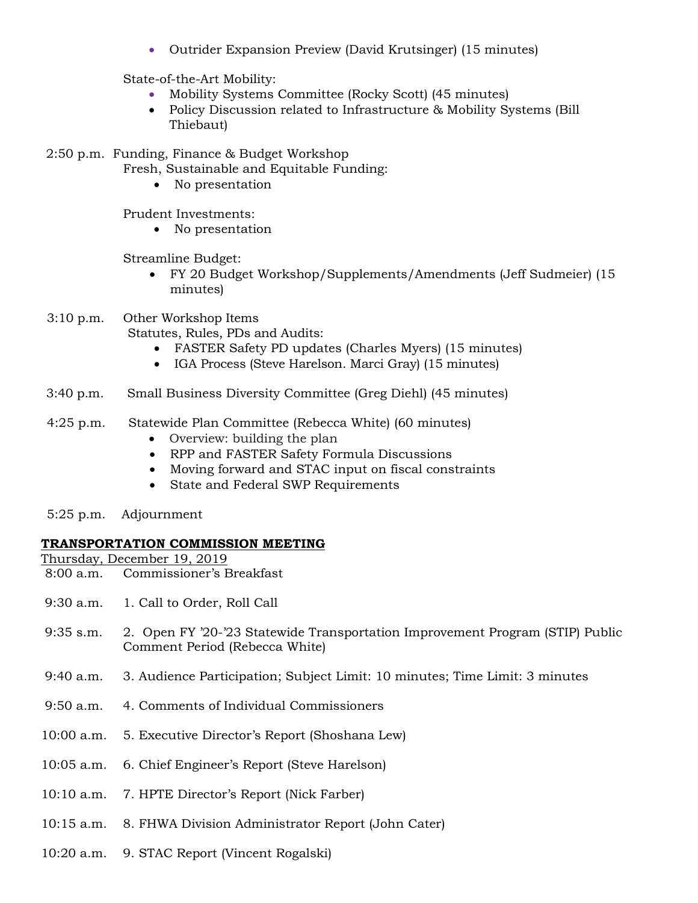• Outrider Expansion Preview (David Krutsinger) (15 minutes)

State-of-the-Art Mobility:

- Mobility Systems Committee (Rocky Scott) (45 minutes)
- Policy Discussion related to Infrastructure & Mobility Systems (Bill Thiebaut)

2:50 p.m. Funding, Finance & Budget Workshop

- Fresh, Sustainable and Equitable Funding:
	- No presentation

Prudent Investments:

• No presentation

Streamline Budget:

- FY 20 Budget Workshop/Supplements/Amendments (Jeff Sudmeier) (15 minutes)
- 3:10 p.m. Other Workshop Items

Statutes, Rules, PDs and Audits:

- FASTER Safety PD updates (Charles Myers) (15 minutes)
- IGA Process (Steve Harelson. Marci Gray) (15 minutes)
- 3:40 p.m. Small Business Diversity Committee (Greg Diehl) (45 minutes)

# 4:25 p.m. Statewide Plan Committee (Rebecca White) (60 minutes)

- Overview: building the plan
- RPP and FASTER Safety Formula Discussions
- Moving forward and STAC input on fiscal constraints
- State and Federal SWP Requirements
- 5:25 p.m. Adjournment

## **TRANSPORTATION COMMISSION MEETING**

- Thursday, December 19, 2019 8:00 a.m. Commissioner's Breakfast
- 9:30 a.m. 1. Call to Order, Roll Call
- 9:35 s.m. 2. Open FY '20-'23 Statewide Transportation Improvement Program (STIP) Public Comment Period (Rebecca White)
- 9:40 a.m. 3. Audience Participation; Subject Limit: 10 minutes; Time Limit: 3 minutes
- 9:50 a.m. 4. Comments of Individual Commissioners
- 10:00 a.m. 5. Executive Director's Report (Shoshana Lew)
- 10:05 a.m. 6. Chief Engineer's Report (Steve Harelson)
- 10:10 a.m. 7. HPTE Director's Report (Nick Farber)
- 10:15 a.m. 8. FHWA Division Administrator Report (John Cater)
- 10:20 a.m. 9. STAC Report (Vincent Rogalski)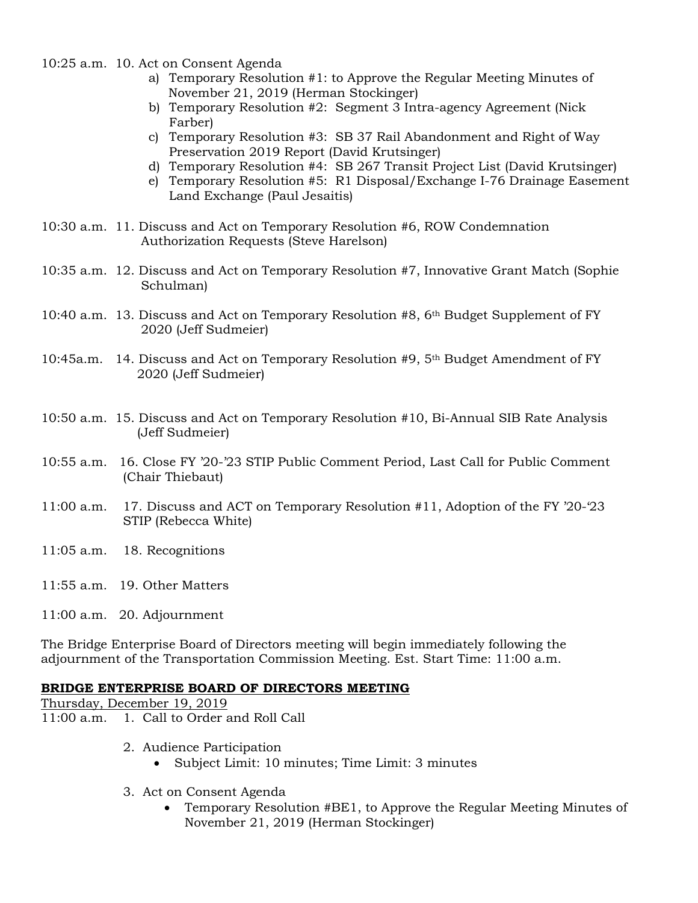- 10:25 a.m. 10. Act on Consent Agenda
	- a) Temporary Resolution #1: to Approve the Regular Meeting Minutes of November 21, 2019 (Herman Stockinger)
	- b) Temporary Resolution #2: Segment 3 Intra-agency Agreement (Nick Farber)
	- c) Temporary Resolution #3: SB 37 Rail Abandonment and Right of Way Preservation 2019 Report (David Krutsinger)
	- d) Temporary Resolution #4: SB 267 Transit Project List (David Krutsinger)
	- e) Temporary Resolution #5: R1 Disposal/Exchange I-76 Drainage Easement Land Exchange (Paul Jesaitis)
- 10:30 a.m. 11. Discuss and Act on Temporary Resolution #6, ROW Condemnation Authorization Requests (Steve Harelson)
- 10:35 a.m. 12. Discuss and Act on Temporary Resolution #7, Innovative Grant Match (Sophie Schulman)
- 10:40 a.m. 13. Discuss and Act on Temporary Resolution  $#8$ ,  $6<sup>th</sup>$  Budget Supplement of FY 2020 (Jeff Sudmeier)
- 10:45a.m. 14. Discuss and Act on Temporary Resolution  $#9$ ,  $5<sup>th</sup>$  Budget Amendment of FY 2020 (Jeff Sudmeier)
- 10:50 a.m. 15. Discuss and Act on Temporary Resolution #10, Bi-Annual SIB Rate Analysis (Jeff Sudmeier)
- 10:55 a.m. 16. Close FY '20-'23 STIP Public Comment Period, Last Call for Public Comment (Chair Thiebaut)
- 11:00 a.m. 17. Discuss and ACT on Temporary Resolution #11, Adoption of the FY '20-'23 STIP (Rebecca White)
- 11:05 a.m. 18. Recognitions
- 11:55 a.m. 19. Other Matters
- 11:00 a.m. 20. Adjournment

The Bridge Enterprise Board of Directors meeting will begin immediately following the adjournment of the Transportation Commission Meeting. Est. Start Time: 11:00 a.m.

#### **BRIDGE ENTERPRISE BOARD OF DIRECTORS MEETING**

Thursday, December 19, 2019

- 11:00 a.m. 1. Call to Order and Roll Call
	- 2. Audience Participation
		- Subject Limit: 10 minutes; Time Limit: 3 minutes
	- 3. Act on Consent Agenda
		- Temporary Resolution #BE1, to Approve the Regular Meeting Minutes of November 21, 2019 (Herman Stockinger)